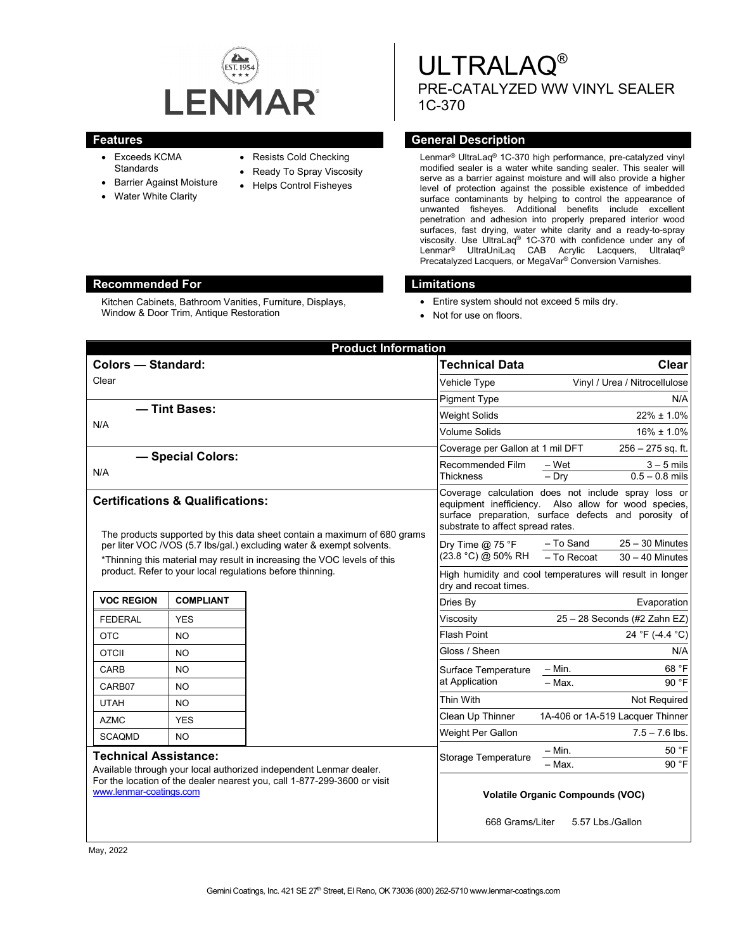

Kitchen Cabinets, Bathroom Vanities, Furniture, Displays,

Window & Door Trim, Antique Restoration

- Exceeds KCMA **Standards**
- Barrier Against Moisture
- Water White Clarity
- Resists Cold Checking
- Ready To Spray Viscosity
- Helps Control Fisheyes
- ULTRALAQ® PRE-CATALYZED WW VINYL SEALER 1C-370

## **Features General Description**

Lenmar® UltraLaq® 1C-370 high performance, pre-catalyzed vinyl modified sealer is a water white sanding sealer. This sealer will serve as a barrier against moisture and will also provide a higher level of protection against the possible existence of imbedded surface contaminants by helping to control the appearance of unwanted fisheyes. Additional benefits include excellent penetration and adhesion into properly prepared interior wood surfaces, fast drying, water white clarity and a ready-to-spray viscosity. Use UltraLaq® 1C-370 with confidence under any of Lenmar® UltraUniLaq CAB Acrylic Lacquers, Ultralaq® Precatalyzed Lacquers, or MegaVar® Conversion Varnishes.

## **Recommended For Limitations**

- Entire system should not exceed 5 mils dry.
- Not for use on floors.

| <b>Colors - Standard:</b><br>Clear<br>Vehicle Type<br><b>Pigment Type</b><br>- Tint Bases:<br><b>Weight Solids</b><br>N/A<br>- Special Colors:<br>N/A<br><b>Thickness</b> | <b>Technical Data</b><br><b>Clear</b><br>Vinyl / Urea / Nitrocellulose<br>N/A<br>$22\% \pm 1.0\%$<br><b>Volume Solids</b><br>$16\% \pm 1.0\%$<br>Coverage per Gallon at 1 mil DFT<br>$256 - 275$ sq. ft.<br>Recommended Film<br>$-$ Wet<br>$3 - 5$ mils<br>$0.5 - 0.8$ mils<br>$-$ Dry<br>Coverage calculation does not include spray loss or<br>equipment inefficiency. Also allow for wood species,<br>surface preparation, surface defects and porosity of<br>substrate to affect spread rates. |
|---------------------------------------------------------------------------------------------------------------------------------------------------------------------------|----------------------------------------------------------------------------------------------------------------------------------------------------------------------------------------------------------------------------------------------------------------------------------------------------------------------------------------------------------------------------------------------------------------------------------------------------------------------------------------------------|
|                                                                                                                                                                           |                                                                                                                                                                                                                                                                                                                                                                                                                                                                                                    |
|                                                                                                                                                                           |                                                                                                                                                                                                                                                                                                                                                                                                                                                                                                    |
|                                                                                                                                                                           |                                                                                                                                                                                                                                                                                                                                                                                                                                                                                                    |
|                                                                                                                                                                           |                                                                                                                                                                                                                                                                                                                                                                                                                                                                                                    |
|                                                                                                                                                                           |                                                                                                                                                                                                                                                                                                                                                                                                                                                                                                    |
|                                                                                                                                                                           |                                                                                                                                                                                                                                                                                                                                                                                                                                                                                                    |
|                                                                                                                                                                           |                                                                                                                                                                                                                                                                                                                                                                                                                                                                                                    |
| <b>Certifications &amp; Qualifications:</b><br>The products supported by this data sheet contain a maximum of 680 grams                                                   |                                                                                                                                                                                                                                                                                                                                                                                                                                                                                                    |
| per liter VOC /VOS (5.7 lbs/gal.) excluding water & exempt solvents.<br>*Thinning this material may result in increasing the VOC levels of this                           | $25 - 30$ Minutes<br>- To Sand<br>Dry Time $@$ 75 °F<br>(23.8 °C) @ 50% RH<br>- To Recoat<br>$30 - 40$ Minutes                                                                                                                                                                                                                                                                                                                                                                                     |
| product. Refer to your local regulations before thinning.                                                                                                                 | High humidity and cool temperatures will result in longer<br>dry and recoat times.                                                                                                                                                                                                                                                                                                                                                                                                                 |
| <b>VOC REGION</b><br><b>COMPLIANT</b><br>Dries By                                                                                                                         | Evaporation                                                                                                                                                                                                                                                                                                                                                                                                                                                                                        |
| Viscosity<br><b>FEDERAL</b><br><b>YES</b>                                                                                                                                 | 25 - 28 Seconds (#2 Zahn EZ)                                                                                                                                                                                                                                                                                                                                                                                                                                                                       |
| <b>Flash Point</b><br><b>OTC</b><br>NO.                                                                                                                                   | 24 °F (-4.4 °C)                                                                                                                                                                                                                                                                                                                                                                                                                                                                                    |
| Gloss / Sheen<br><b>OTCII</b><br>NO.                                                                                                                                      | N/A                                                                                                                                                                                                                                                                                                                                                                                                                                                                                                |
| CARB<br>NO.                                                                                                                                                               | 68 °F<br>– Min.<br>Surface Temperature                                                                                                                                                                                                                                                                                                                                                                                                                                                             |
| at Application<br>CARB07<br>NO.                                                                                                                                           | - Max.<br>90 °F                                                                                                                                                                                                                                                                                                                                                                                                                                                                                    |
| Thin With<br><b>UTAH</b><br>NO.                                                                                                                                           | Not Required                                                                                                                                                                                                                                                                                                                                                                                                                                                                                       |
| <b>AZMC</b><br><b>YES</b>                                                                                                                                                 | Clean Up Thinner<br>1A-406 or 1A-519 Lacquer Thinner                                                                                                                                                                                                                                                                                                                                                                                                                                               |
| <b>SCAQMD</b><br><b>NO</b>                                                                                                                                                | Weight Per Gallon<br>$7.5 - 7.6$ lbs.                                                                                                                                                                                                                                                                                                                                                                                                                                                              |
| <b>Technical Assistance:</b>                                                                                                                                              | $-$ Min.<br>50 °F<br>Storage Temperature                                                                                                                                                                                                                                                                                                                                                                                                                                                           |
| Available through your local authorized independent Lenmar dealer.<br>For the location of the dealer nearest you, call 1-877-299-3600 or visit<br>www.lenmar-coatings.com | - Max.<br>90 °F<br><b>Volatile Organic Compounds (VOC)</b><br>668 Grams/Liter<br>5.57 Lbs./Gallon                                                                                                                                                                                                                                                                                                                                                                                                  |